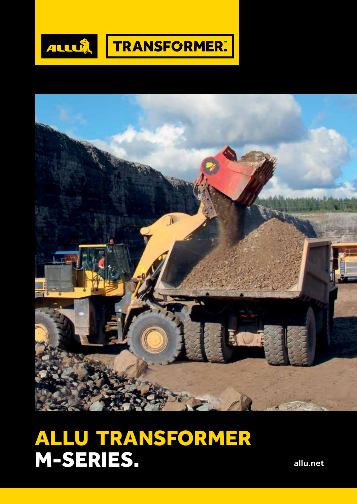



## ALLU TRANSFORMER M-SERIES.

**allu.net**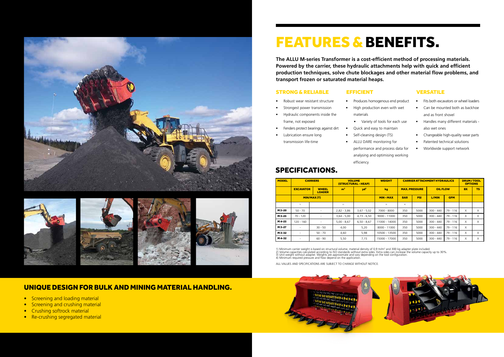









# FEATURES & BENEFITS.

**The ALLU M-series Transformer is a cost-efficient method of processing materials. Powered by the carrier, these hydraulic attachments help with quick and efficient production techniques, solve chute blockages and other material flow problems, and transport frozen or saturated material heaps.** 

| <b>MODEL</b> | <b>CARRIERS</b>                                   |           | <b>VOLUME</b><br><b>(STRUCTURAL - HEAP)</b> |                 | <b>WEIGHT</b>  | <b>CARRIER ATTACHMENT HYDRAULICS</b> |            |                 | <b>DRUM/TOOL</b><br><b>OPTIONS</b> |           |           |
|--------------|---------------------------------------------------|-----------|---------------------------------------------|-----------------|----------------|--------------------------------------|------------|-----------------|------------------------------------|-----------|-----------|
|              | <b>WHEEL</b><br><b>EXCAVATOR</b><br><b>LOADER</b> |           | m <sup>3</sup>                              | yd <sup>3</sup> | kg             | <b>MAX. PRESSURE</b>                 |            | <b>OIL FLOW</b> |                                    | <b>BX</b> | <b>TS</b> |
|              | MIN/MAX(T)                                        |           |                                             |                 | <b>MIN-MAX</b> | <b>BAR</b>                           | <b>PSI</b> | L/MIN           | <b>GPM</b>                         |           |           |
|              | 1)                                                |           | 2)                                          |                 | 3)             | 4)                                   |            |                 |                                    |           |           |
| M3-20        | $50 - 70$                                         |           | $2,82 - 3,86$                               | $3,67 - 5,02$   | 7000 - 8000    | 350                                  | 5000       | $300 - 440$     | $79 - 116$                         | $\times$  | X         |
| M 3-25       | $70 - 120$                                        |           | $3,64 - 5,00$                               | $4,73 - 6,50$   | 9000 - 11000   | 350                                  | 5000       | $300 - 440$     | $79 - 116$                         | $\times$  | $\times$  |
| M 4-25       | 120 - 160                                         | ٠         | $5,00 - 8,67$                               | $6,50 - 8,67$   | 11000 - 14000  | 350                                  | 5000       | $300 - 440$     | 79 - 116                           | $\times$  | X         |
| M 3-27       | $\sim$                                            | $30 - 50$ | 4,00                                        | 5,20            | 8000 - 11000   | 350                                  | 5000       | $300 - 440$     | $79 - 116$                         | $\times$  |           |
| M 3-32       | $\sim$                                            | $50 - 70$ | 4,60                                        | 5,98            | 10500 - 13500  | 350                                  | 5000       | $300 - 440$     | $79 - 116$                         | $\times$  | X         |
| M 4-32       | ٠                                                 | $60 - 90$ | 5,50                                        | 7,15            | 15000 - 17000  | 350                                  | 5000       | $300 - 440$     | 79 - 116                           | $\times$  | $\times$  |

1) Minimum carrier weight is based on structural volume, material density of 0,9 tn/m<sup>3</sup> and 300 kg adapter plate included.<br>2) Volume capacities calculated according to ISO standards without extra sides. Extra sides can in

## SPECIFICATIONS.

- Screening and loading material
- Screening and crushing material
- Crushing softrock material
- Re-crushing segregated material



ALL VALUES AND SPECIFICATIONS ARE SUBJECT TO CHANGE WITHOUT NOTICE.

- Robust wear resistant structure
- Strongest power transmission
- Hydraulic components inside the
- Fenders protect bearings against dirt
- Lubrication ensure long transmission life-time

- 
- 
- frame, not exposed
- 
- 

materials

• Variety of tools for each use

• Quick and easy to maintain

#### STRONG & RELIABLE EFFICIENT VERSATILE

• Self-cleaning design (TS) • ALLU DARE monitoring for performance and process data for analysing and optimising working efficiency

- Produces homogenous end product
- High production even with wet
- Fits both excavators or wheel loaders
- Can be mounted both as backhoe and as front shovel
- Handles many different materials also wet ones
- Changeable high-quality wear parts
- Patented technical solutions
- Worldwide support network



### UNIQUE DESIGN FOR BULK AND MINING MATERIAL HANDLING.